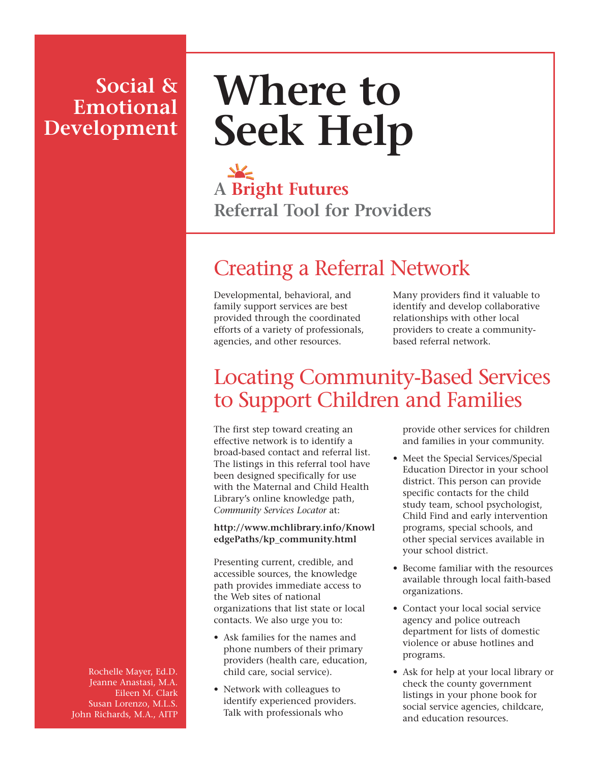### **Social & Emotional Development**

# **Where to Seek Help**

**A Bright Futures Referral Tool for Providers**

## Creating a Referral Network

Developmental, behavioral, and family support services are best provided through the coordinated efforts of a variety of professionals, agencies, and other resources.

Many providers find it valuable to identify and develop collaborative relationships with other local providers to create a communitybased referral network.

### Locating Community-Based Services to Support Children and Families

The first step toward creating an effective network is to identify a broad-based contact and referral list. The listings in this referral tool have been designed specifically for use with the Maternal and Child Health Library's online knowledge path, *Community Services Locator* at:

#### **http://www.mchlibrary.info/Knowl edgePaths/kp\_community.html**

Presenting current, credible, and accessible sources, the knowledge path provides immediate access to the Web sites of national organizations that list state or local contacts. We also urge you to:

- Ask families for the names and phone numbers of their primary providers (health care, education, child care, social service).
- Network with colleagues to identify experienced providers. Talk with professionals who

provide other services for children and families in your community.

- Meet the Special Services/Special Education Director in your school district. This person can provide specific contacts for the child study team, school psychologist, Child Find and early intervention programs, special schools, and other special services available in your school district.
- Become familiar with the resources available through local faith-based organizations.
- Contact your local social service agency and police outreach department for lists of domestic violence or abuse hotlines and programs.
- Ask for help at your local library or check the county government listings in your phone book for social service agencies, childcare, and education resources.

Rochelle Mayer, Ed.D. Jeanne Anastasi, M.A. Eileen M. Clark Susan Lorenzo, M.L.S. John Richards, M.A., AITP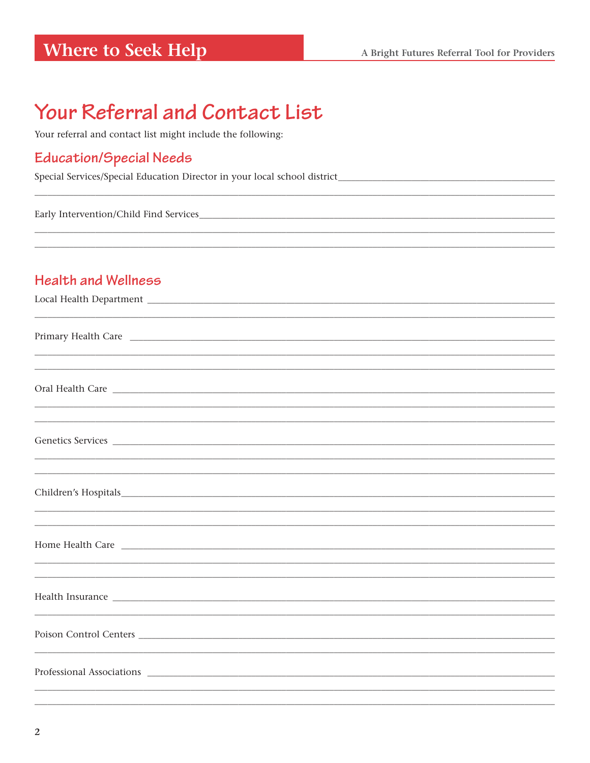### **Where to Seek Help**

## Your Referral and Contact List

Your referral and contact list might include the following:

#### **Education/Special Needs**

Special Services/Special Education Director in your local school district\_\_\_\_\_\_\_\_\_\_\_\_\_\_\_\_\_\_\_\_\_\_\_\_\_\_\_

Early Intervention/Child Find Services

#### **Health and Wellness**

| Primary Health Care                                                                                                                                                                                                                  |  |  |
|--------------------------------------------------------------------------------------------------------------------------------------------------------------------------------------------------------------------------------------|--|--|
|                                                                                                                                                                                                                                      |  |  |
|                                                                                                                                                                                                                                      |  |  |
| Oral Health Care <b>contract the contract of the contract of the contract of the contract of the contract of the contract of the contract of the contract of the contract of the contract of the contract of the contract of the</b> |  |  |
| ,我们也不能在这里的时候,我们也不能在这里的时候,我们也不能在这里的时候,我们也不能会在这里的时候,我们也不能会在这里的时候,我们也不能会在这里的时候,我们也不能                                                                                                                                                    |  |  |
| Genetics Services                                                                                                                                                                                                                    |  |  |
|                                                                                                                                                                                                                                      |  |  |
|                                                                                                                                                                                                                                      |  |  |
|                                                                                                                                                                                                                                      |  |  |
|                                                                                                                                                                                                                                      |  |  |
|                                                                                                                                                                                                                                      |  |  |
|                                                                                                                                                                                                                                      |  |  |
|                                                                                                                                                                                                                                      |  |  |
| Health Insurance entropy and the set of the set of the set of the set of the set of the set of the set of the set of the set of the set of the set of the set of the set of the set of the set of the set of the set of the se       |  |  |
|                                                                                                                                                                                                                                      |  |  |
| Poison Control Centers                                                                                                                                                                                                               |  |  |
|                                                                                                                                                                                                                                      |  |  |
|                                                                                                                                                                                                                                      |  |  |
|                                                                                                                                                                                                                                      |  |  |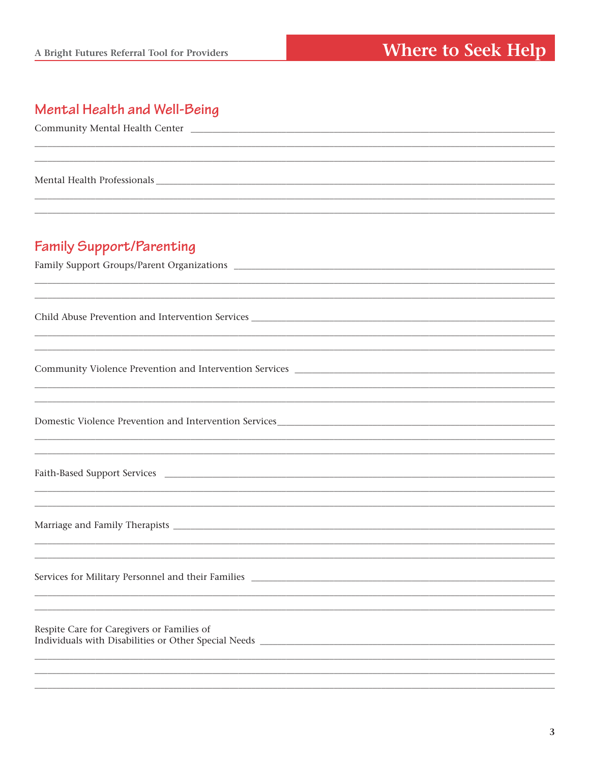#### Mental Health and Well-Being

| <b>Family Support/Parenting</b>                                                                                                                                                                                                                                             |
|-----------------------------------------------------------------------------------------------------------------------------------------------------------------------------------------------------------------------------------------------------------------------------|
|                                                                                                                                                                                                                                                                             |
|                                                                                                                                                                                                                                                                             |
| ,我们也不能在这里的时候,我们也不能在这里的时候,我们也不能在这里的时候,我们也不能会在这里的时候,我们也不能会在这里的时候,我们也不能会在这里的时候,我们也不                                                                                                                                                                                            |
|                                                                                                                                                                                                                                                                             |
|                                                                                                                                                                                                                                                                             |
| ,我们也不会有什么。""我们的人,我们也不会有什么?""我们的人,我们也不会有什么?""我们的人,我们也不会有什么?""我们的人,我们也不会有什么?""我们的人                                                                                                                                                                                            |
|                                                                                                                                                                                                                                                                             |
| ,我们也不会有什么。""我们的人,我们也不会有什么?""我们的人,我们也不会有什么?""我们的人,我们也不会有什么?""我们的人,我们也不会有什么?""我们的人                                                                                                                                                                                            |
| ,一个人的人都是不是一个人的人,我们也不是一个人的人,我们也不是一个人的人,我们也不是一个人的人,我们也不是一个人的人,我们也不是一个人的人,我们也不是一个人的人                                                                                                                                                                                           |
|                                                                                                                                                                                                                                                                             |
|                                                                                                                                                                                                                                                                             |
| ,我们也不能在这里的时候,我们也不能在这里的时候,我们也不能不能不能不能不能不能不能不能不能不能不能不能不能不能不能。""我们的是我们的,我们也不能不能不能不能                                                                                                                                                                                            |
|                                                                                                                                                                                                                                                                             |
| ,我们也不能在这里的时候,我们也不能在这里的时候,我们也不能不能不能不能不能不能不能不能不能不能不能不能不能不能不能。""我们的是我们的,我们也不能不能不能不能                                                                                                                                                                                            |
| ,一个人的人都是一个人的人,我们就是一个人的人,我们就是一个人的人,我们就是一个人的人,我们就是一个人的人,我们就是一个人的人,我们就是一个人的人,我们就是一个人                                                                                                                                                                                           |
|                                                                                                                                                                                                                                                                             |
|                                                                                                                                                                                                                                                                             |
|                                                                                                                                                                                                                                                                             |
| Services for Military Personnel and their Families _____________________________                                                                                                                                                                                            |
|                                                                                                                                                                                                                                                                             |
|                                                                                                                                                                                                                                                                             |
| Respite Care for Caregivers or Families of<br>Individuals with Disabilities or Other Special Needs Learning and Security and Security and Security and Security and Security and Security and Security and Security and Security and Security and Security and Security and |
|                                                                                                                                                                                                                                                                             |